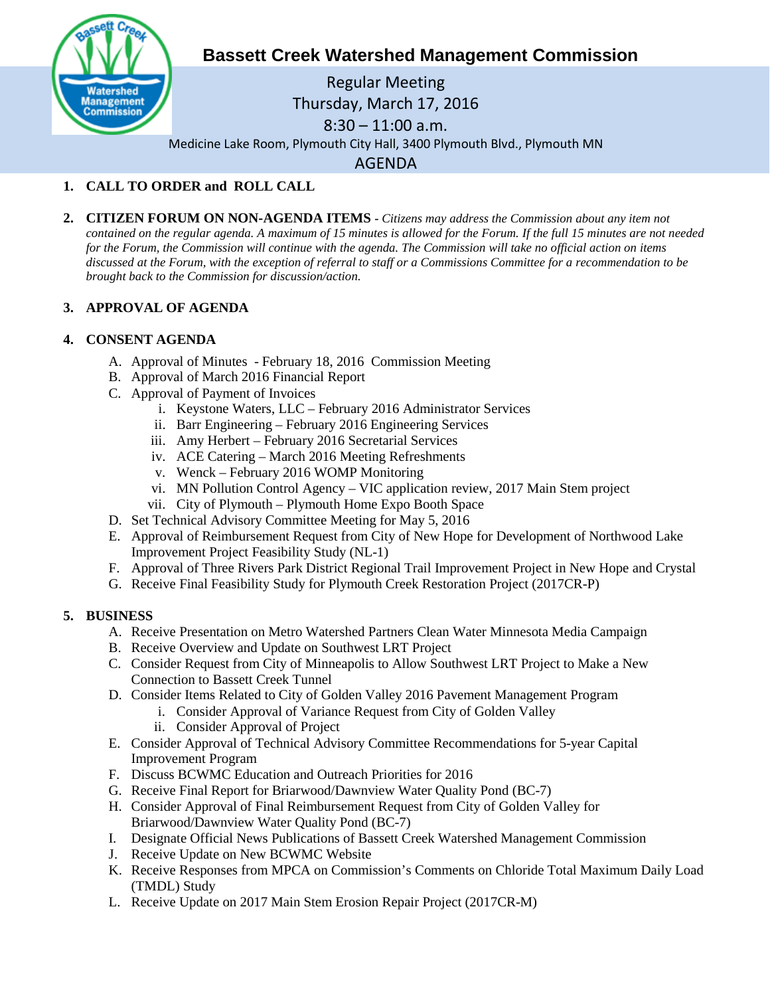

# **Bassett Creek Watershed Management Commission**

Regular Meeting Thursday, March 17, 2016 8:30 – 11:00 a.m. Medicine Lake Room, Plymouth City Hall, 3400 Plymouth Blvd., Plymouth MN AGENDA

## **1. CALL TO ORDER and ROLL CALL**

**2. CITIZEN FORUM ON NON-AGENDA ITEMS -** *Citizens may address the Commission about any item not contained on the regular agenda. A maximum of 15 minutes is allowed for the Forum. If the full 15 minutes are not needed for the Forum, the Commission will continue with the agenda. The Commission will take no official action on items discussed at the Forum, with the exception of referral to staff or a Commissions Committee for a recommendation to be brought back to the Commission for discussion/action.*

## **3. APPROVAL OF AGENDA**

## **4. CONSENT AGENDA**

- A. Approval of Minutes February 18, 2016 Commission Meeting
- B. Approval of March 2016 Financial Report
- C. Approval of Payment of Invoices
	- i. Keystone Waters, LLC February 2016 Administrator Services
	- ii. Barr Engineering February 2016 Engineering Services
	- iii. Amy Herbert February 2016 Secretarial Services
	- iv. ACE Catering March 2016 Meeting Refreshments
	- v. Wenck February 2016 WOMP Monitoring
	- vi. MN Pollution Control Agency VIC application review, 2017 Main Stem project
	- vii. City of Plymouth Plymouth Home Expo Booth Space
- D. Set Technical Advisory Committee Meeting for May 5, 2016
- E. Approval of Reimbursement Request from City of New Hope for Development of Northwood Lake Improvement Project Feasibility Study (NL-1)
- F. Approval of Three Rivers Park District Regional Trail Improvement Project in New Hope and Crystal
- G. Receive Final Feasibility Study for Plymouth Creek Restoration Project (2017CR-P)

## **5. BUSINESS**

- A. Receive Presentation on Metro Watershed Partners Clean Water Minnesota Media Campaign
- B. Receive Overview and Update on Southwest LRT Project
- C. Consider Request from City of Minneapolis to Allow Southwest LRT Project to Make a New Connection to Bassett Creek Tunnel
- D. Consider Items Related to City of Golden Valley 2016 Pavement Management Program
	- i. Consider Approval of Variance Request from City of Golden Valley
	- ii. Consider Approval of Project
- E. Consider Approval of Technical Advisory Committee Recommendations for 5-year Capital Improvement Program
- F. Discuss BCWMC Education and Outreach Priorities for 2016
- G. Receive Final Report for Briarwood/Dawnview Water Quality Pond (BC-7)
- H. Consider Approval of Final Reimbursement Request from City of Golden Valley for Briarwood/Dawnview Water Quality Pond (BC-7)
- I. Designate Official News Publications of Bassett Creek Watershed Management Commission
- J. Receive Update on New BCWMC Website
- K. Receive Responses from MPCA on Commission's Comments on Chloride Total Maximum Daily Load (TMDL) Study
- L. Receive Update on 2017 Main Stem Erosion Repair Project (2017CR-M)